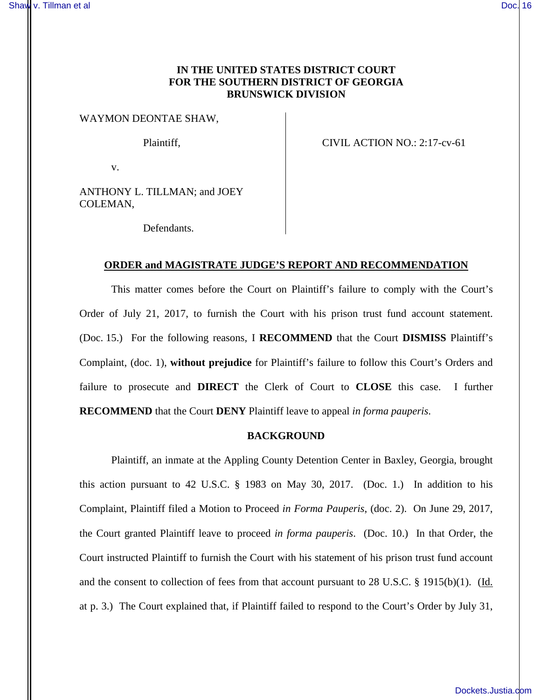# **IN THE UNITED STATES DISTRICT COURT FOR THE SOUTHERN DISTRICT OF GEORGIA BRUNSWICK DIVISION**

#### WAYMON DEONTAE SHAW,

Plaintiff,  $CIVIL$  ACTION NO.: 2:17-cv-61

v.

ANTHONY L. TILLMAN; and JOEY COLEMAN,

Defendants.

## **ORDER and MAGISTRATE JUDGE'S REPORT AND RECOMMENDATION**

This matter comes before the Court on Plaintiff's failure to comply with the Court's Order of July 21, 2017, to furnish the Court with his prison trust fund account statement. (Doc. 15.) For the following reasons, I **RECOMMEND** that the Court **DISMISS** Plaintiff's Complaint, (doc. 1), **without prejudice** for Plaintiff's failure to follow this Court's Orders and failure to prosecute and **DIRECT** the Clerk of Court to **CLOSE** this case. I further **RECOMMEND** that the Court **DENY** Plaintiff leave to appeal *in forma pauperis*.

#### **BACKGROUND**

Plaintiff, an inmate at the Appling County Detention Center in Baxley, Georgia, brought this action pursuant to 42 U.S.C.  $\S$  1983 on May 30, 2017. (Doc. 1.) In addition to his Complaint, Plaintiff filed a Motion to Proceed *in Forma Pauperis*, (doc. 2). On June 29, 2017, the Court granted Plaintiff leave to proceed *in forma pauperis*. (Doc. 10.) In that Order, the Court instructed Plaintiff to furnish the Court with his statement of his prison trust fund account and the consent to collection of fees from that account pursuant to 28 U.S.C. § 1915(b)(1). (Id. at p. 3.) The Court explained that, if Plaintiff failed to respond to the Court's Order by July 31,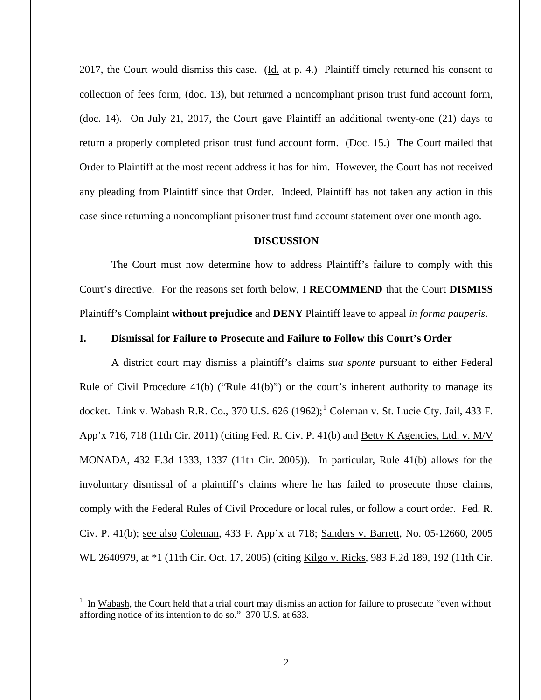2017, the Court would dismiss this case. (Id. at p. 4.) Plaintiff timely returned his consent to collection of fees form, (doc. 13), but returned a noncompliant prison trust fund account form, (doc. 14). On July 21, 2017, the Court gave Plaintiff an additional twenty-one (21) days to return a properly completed prison trust fund account form. (Doc. 15.) The Court mailed that Order to Plaintiff at the most recent address it has for him. However, the Court has not received any pleading from Plaintiff since that Order. Indeed, Plaintiff has not taken any action in this case since returning a noncompliant prisoner trust fund account statement over one month ago.

### **DISCUSSION**

The Court must now determine how to address Plaintiff's failure to comply with this Court's directive. For the reasons set forth below, I **RECOMMEND** that the Court **DISMISS** Plaintiff's Complaint **without prejudice** and **DENY** Plaintiff leave to appeal *in forma pauperis*.

#### **I. Dismissal for Failure to Prosecute and Failure to Follow this Court's Order**

A district court may dismiss a plaintiff's claims *sua sponte* pursuant to either Federal Rule of Civil Procedure  $(41(b))$  ("Rule  $(41(b))$ ") or the court's inherent authority to manage its docket. Link v. Wabash R.R. Co., 370 U.S.  $626$  (1962);<sup>1</sup> Coleman v. St. Lucie Cty. Jail, 433 F. App'x 716, 718 (11th Cir. 2011) (citing Fed. R. Civ. P. 41(b) and Betty K Agencies, Ltd. v. M/V MONADA, 432 F.3d 1333, 1337 (11th Cir. 2005)). In particular, Rule 41(b) allows for the involuntary dismissal of a plaintiff's claims where he has failed to prosecute those claims, comply with the Federal Rules of Civil Procedure or local rules, or follow a court order. Fed. R. Civ. P. 41(b); see also Coleman, 433 F. App'x at 718; Sanders v. Barrett, No. 05-12660, 2005 WL 2640979, at \*1 (11th Cir. Oct. 17, 2005) (citing Kilgo v. Ricks, 983 F.2d 189, 192 (11th Cir.

 $\overline{a}$ 

<sup>1</sup> In Wabash, the Court held that a trial court may dismiss an action for failure to prosecute "even without affording notice of its intention to do so." 370 U.S. at 633.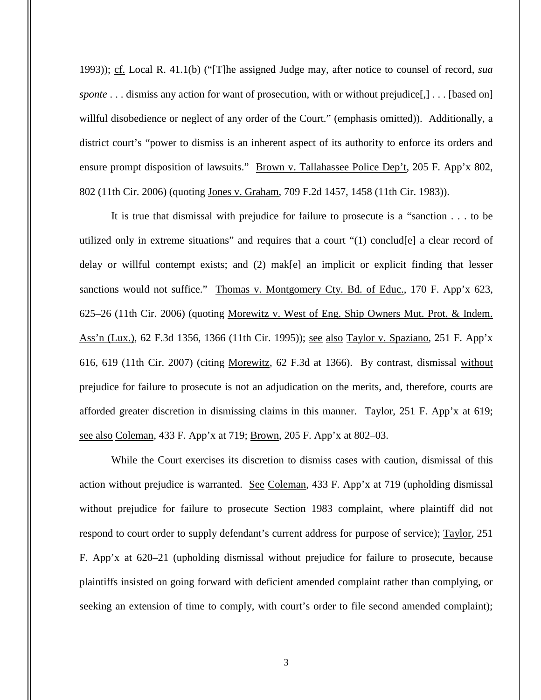1993)); cf. Local R. 41.1(b) ("[T]he assigned Judge may, after notice to counsel of record, *sua sponte* . . . dismiss any action for want of prosecution, with or without prejudice[,] . . . [based on] willful disobedience or neglect of any order of the Court." (emphasis omitted)). Additionally, a district court's "power to dismiss is an inherent aspect of its authority to enforce its orders and ensure prompt disposition of lawsuits." Brown v. Tallahassee Police Dep't, 205 F. App'x 802, 802 (11th Cir. 2006) (quoting Jones v. Graham, 709 F.2d 1457, 1458 (11th Cir. 1983)).

It is true that dismissal with prejudice for failure to prosecute is a "sanction . . . to be utilized only in extreme situations" and requires that a court "(1) conclud[e] a clear record of delay or willful contempt exists; and (2) mak[e] an implicit or explicit finding that lesser sanctions would not suffice." Thomas v. Montgomery Cty. Bd. of Educ., 170 F. App'x 623, 625–26 (11th Cir. 2006) (quoting Morewitz v. West of Eng. Ship Owners Mut. Prot. & Indem. Ass'n (Lux.), 62 F.3d 1356, 1366 (11th Cir. 1995)); see also Taylor v. Spaziano, 251 F. App'x 616, 619 (11th Cir. 2007) (citing Morewitz, 62 F.3d at 1366). By contrast, dismissal without prejudice for failure to prosecute is not an adjudication on the merits, and, therefore, courts are afforded greater discretion in dismissing claims in this manner. Taylor, 251 F. App'x at 619; see also Coleman, 433 F. App'x at 719; Brown, 205 F. App'x at 802–03.

While the Court exercises its discretion to dismiss cases with caution, dismissal of this action without prejudice is warranted. See Coleman, 433 F. App'x at 719 (upholding dismissal without prejudice for failure to prosecute Section 1983 complaint, where plaintiff did not respond to court order to supply defendant's current address for purpose of service); Taylor, 251 F. App'x at 620–21 (upholding dismissal without prejudice for failure to prosecute, because plaintiffs insisted on going forward with deficient amended complaint rather than complying, or seeking an extension of time to comply, with court's order to file second amended complaint);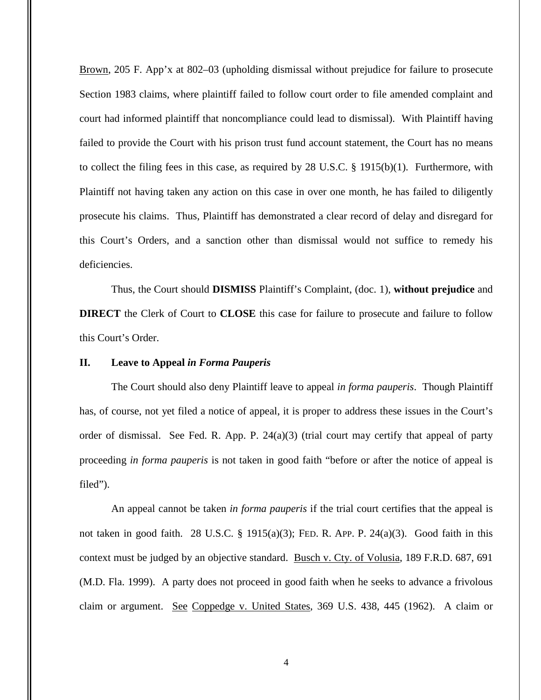Brown, 205 F. App'x at 802–03 (upholding dismissal without prejudice for failure to prosecute Section 1983 claims, where plaintiff failed to follow court order to file amended complaint and court had informed plaintiff that noncompliance could lead to dismissal). With Plaintiff having failed to provide the Court with his prison trust fund account statement, the Court has no means to collect the filing fees in this case, as required by 28 U.S.C. § 1915(b)(1). Furthermore, with Plaintiff not having taken any action on this case in over one month, he has failed to diligently prosecute his claims. Thus, Plaintiff has demonstrated a clear record of delay and disregard for this Court's Orders, and a sanction other than dismissal would not suffice to remedy his deficiencies.

Thus, the Court should **DISMISS** Plaintiff's Complaint, (doc. 1), **without prejudice** and **DIRECT** the Clerk of Court to **CLOSE** this case for failure to prosecute and failure to follow this Court's Order.

### **II. Leave to Appeal** *in Forma Pauperis*

The Court should also deny Plaintiff leave to appeal *in forma pauperis*. Though Plaintiff has, of course, not yet filed a notice of appeal, it is proper to address these issues in the Court's order of dismissal. See Fed. R. App. P. 24(a)(3) (trial court may certify that appeal of party proceeding *in forma pauperis* is not taken in good faith "before or after the notice of appeal is filed").

An appeal cannot be taken *in forma pauperis* if the trial court certifies that the appeal is not taken in good faith. 28 U.S.C.  $\S$  1915(a)(3); FED. R. APP. P. 24(a)(3). Good faith in this context must be judged by an objective standard. Busch v. Cty. of Volusia, 189 F.R.D. 687, 691 (M.D. Fla. 1999). A party does not proceed in good faith when he seeks to advance a frivolous claim or argument. See Coppedge v. United States, 369 U.S. 438, 445 (1962). A claim or

4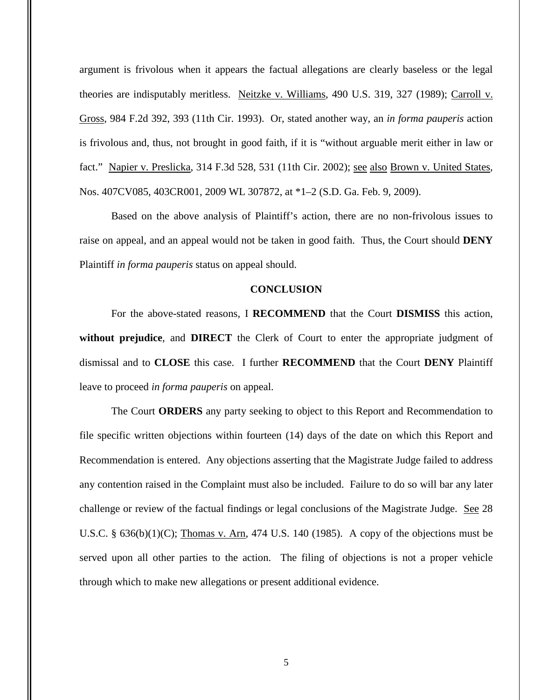argument is frivolous when it appears the factual allegations are clearly baseless or the legal theories are indisputably meritless. Neitzke v. Williams, 490 U.S. 319, 327 (1989); Carroll v. Gross, 984 F.2d 392, 393 (11th Cir. 1993). Or, stated another way, an *in forma pauperis* action is frivolous and, thus, not brought in good faith, if it is "without arguable merit either in law or fact." Napier v. Preslicka, 314 F.3d 528, 531 (11th Cir. 2002); see also Brown v. United States, Nos. 407CV085, 403CR001, 2009 WL 307872, at \*1–2 (S.D. Ga. Feb. 9, 2009).

Based on the above analysis of Plaintiff's action, there are no non-frivolous issues to raise on appeal, and an appeal would not be taken in good faith. Thus, the Court should **DENY**  Plaintiff *in forma pauperis* status on appeal should.

## **CONCLUSION**

For the above-stated reasons, I **RECOMMEND** that the Court **DISMISS** this action, **without prejudice**, and **DIRECT** the Clerk of Court to enter the appropriate judgment of dismissal and to **CLOSE** this case. I further **RECOMMEND** that the Court **DENY** Plaintiff leave to proceed *in forma pauperis* on appeal.

The Court **ORDERS** any party seeking to object to this Report and Recommendation to file specific written objections within fourteen (14) days of the date on which this Report and Recommendation is entered. Any objections asserting that the Magistrate Judge failed to address any contention raised in the Complaint must also be included. Failure to do so will bar any later challenge or review of the factual findings or legal conclusions of the Magistrate Judge. See 28 U.S.C.  $\S$  636(b)(1)(C); Thomas v. Arn, 474 U.S. 140 (1985). A copy of the objections must be served upon all other parties to the action. The filing of objections is not a proper vehicle through which to make new allegations or present additional evidence.